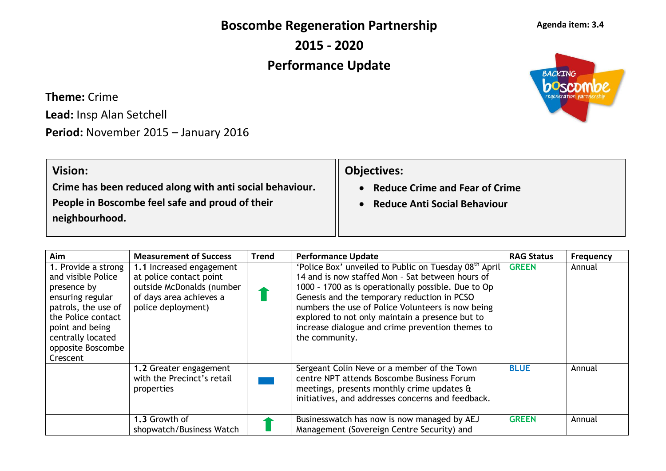**Boscombe Regeneration Partnership**

**2015 - 2020**

## **Performance Update**

**Theme:** Crime

**Lead:** Insp Alan Setchell

**Period:** November 2015 – January 2016

| <b>Vision:</b>                                           | <b>Objectives:</b>                    |
|----------------------------------------------------------|---------------------------------------|
| Crime has been reduced along with anti social behaviour. | <b>Reduce Crime and Fear of Crime</b> |
| People in Boscombe feel safe and proud of their          | <b>Reduce Anti Social Behaviour</b>   |
| neighbourhood.                                           |                                       |
|                                                          |                                       |

| Aim                                                                                                                                                                                                | <b>Measurement of Success</b>                                                                                                     | <b>Trend</b> | <b>Performance Update</b>                                                                                                                                                                                                                                                                                                                                                                                 | <b>RAG Status</b> | <b>Frequency</b> |
|----------------------------------------------------------------------------------------------------------------------------------------------------------------------------------------------------|-----------------------------------------------------------------------------------------------------------------------------------|--------------|-----------------------------------------------------------------------------------------------------------------------------------------------------------------------------------------------------------------------------------------------------------------------------------------------------------------------------------------------------------------------------------------------------------|-------------------|------------------|
| 1. Provide a strong<br>and visible Police<br>presence by<br>ensuring regular<br>patrols, the use of<br>the Police contact<br>point and being<br>centrally located<br>opposite Boscombe<br>Crescent | 1.1 Increased engagement<br>at police contact point<br>outside McDonalds (number<br>of days area achieves a<br>police deployment) |              | 'Police Box' unveiled to Public on Tuesday 08 <sup>th</sup> April<br>14 and is now staffed Mon - Sat between hours of<br>1000 - 1700 as is operationally possible. Due to Op<br>Genesis and the temporary reduction in PCSO<br>numbers the use of Police Volunteers is now being<br>explored to not only maintain a presence but to<br>increase dialogue and crime prevention themes to<br>the community. | <b>GREEN</b>      | Annual           |
|                                                                                                                                                                                                    | 1.2 Greater engagement<br>with the Precinct's retail<br>properties                                                                |              | Sergeant Colin Neve or a member of the Town<br>centre NPT attends Boscombe Business Forum<br>meetings, presents monthly crime updates &<br>initiatives, and addresses concerns and feedback.                                                                                                                                                                                                              | <b>BLUE</b>       | Annual           |
|                                                                                                                                                                                                    | 1.3 Growth of<br>shopwatch/Business Watch                                                                                         |              | Businesswatch has now is now managed by AEJ<br>Management (Sovereign Centre Security) and                                                                                                                                                                                                                                                                                                                 | <b>GREEN</b>      | Annual           |

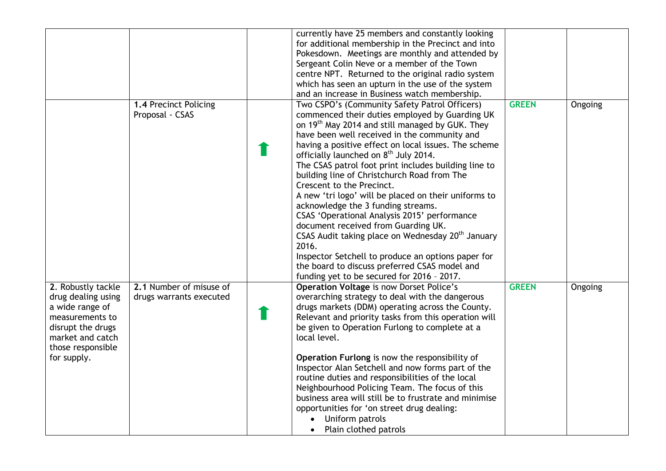|                                                                                                                                                             |                                                    | currently have 25 members and constantly looking<br>for additional membership in the Precinct and into<br>Pokesdown. Meetings are monthly and attended by<br>Sergeant Colin Neve or a member of the Town<br>centre NPT. Returned to the original radio system<br>which has seen an upturn in the use of the system<br>and an increase in Business watch membership.                                                                                                                                                                                                                                                                                                                                                                                                                                                                                                                 |              |         |
|-------------------------------------------------------------------------------------------------------------------------------------------------------------|----------------------------------------------------|-------------------------------------------------------------------------------------------------------------------------------------------------------------------------------------------------------------------------------------------------------------------------------------------------------------------------------------------------------------------------------------------------------------------------------------------------------------------------------------------------------------------------------------------------------------------------------------------------------------------------------------------------------------------------------------------------------------------------------------------------------------------------------------------------------------------------------------------------------------------------------------|--------------|---------|
|                                                                                                                                                             | 1.4 Precinct Policing<br>Proposal - CSAS           | Two CSPO's (Community Safety Patrol Officers)<br>commenced their duties employed by Guarding UK<br>on 19 <sup>th</sup> May 2014 and still managed by GUK. They<br>have been well received in the community and<br>having a positive effect on local issues. The scheme<br>officially launched on 8 <sup>th</sup> July 2014.<br>The CSAS patrol foot print includes building line to<br>building line of Christchurch Road from The<br>Crescent to the Precinct.<br>A new 'tri logo' will be placed on their uniforms to<br>acknowledge the 3 funding streams.<br>CSAS 'Operational Analysis 2015' performance<br>document received from Guarding UK.<br>CSAS Audit taking place on Wednesday 20 <sup>th</sup> January<br>2016.<br>Inspector Setchell to produce an options paper for<br>the board to discuss preferred CSAS model and<br>funding yet to be secured for 2016 - 2017. | <b>GREEN</b> | Ongoing |
| 2. Robustly tackle<br>drug dealing using<br>a wide range of<br>measurements to<br>disrupt the drugs<br>market and catch<br>those responsible<br>for supply. | 2.1 Number of misuse of<br>drugs warrants executed | <b>Operation Voltage is now Dorset Police's</b><br>overarching strategy to deal with the dangerous<br>drugs markets (DDM) operating across the County.<br>Relevant and priority tasks from this operation will<br>be given to Operation Furlong to complete at a<br>local level.<br>Operation Furlong is now the responsibility of<br>Inspector Alan Setchell and now forms part of the<br>routine duties and responsibilities of the local<br>Neighbourhood Policing Team. The focus of this<br>business area will still be to frustrate and minimise<br>opportunities for 'on street drug dealing:<br>Uniform patrols<br>• Plain clothed patrols                                                                                                                                                                                                                                  | <b>GREEN</b> | Ongoing |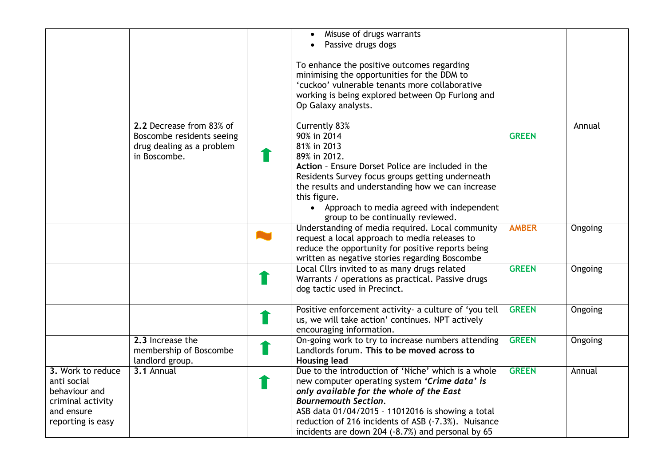|                                                                                                           |                                                                                                    | Misuse of drugs warrants<br>Passive drugs dogs<br>To enhance the positive outcomes regarding<br>minimising the opportunities for the DDM to<br>'cuckoo' vulnerable tenants more collaborative<br>working is being explored between Op Furlong and<br>Op Galaxy analysts.                                                                         |              |         |
|-----------------------------------------------------------------------------------------------------------|----------------------------------------------------------------------------------------------------|--------------------------------------------------------------------------------------------------------------------------------------------------------------------------------------------------------------------------------------------------------------------------------------------------------------------------------------------------|--------------|---------|
|                                                                                                           | 2.2 Decrease from 83% of<br>Boscombe residents seeing<br>drug dealing as a problem<br>in Boscombe. | <b>Currently 83%</b><br>90% in 2014<br>81% in 2013<br>89% in 2012.<br>Action - Ensure Dorset Police are included in the<br>Residents Survey focus groups getting underneath<br>the results and understanding how we can increase<br>this figure.<br>• Approach to media agreed with independent<br>group to be continually reviewed.             | <b>GREEN</b> | Annual  |
|                                                                                                           |                                                                                                    | Understanding of media required. Local community<br>request a local approach to media releases to<br>reduce the opportunity for positive reports being<br>written as negative stories regarding Boscombe                                                                                                                                         | <b>AMBER</b> | Ongoing |
|                                                                                                           |                                                                                                    | Local Cllrs invited to as many drugs related<br>Warrants / operations as practical. Passive drugs<br>dog tactic used in Precinct.                                                                                                                                                                                                                | <b>GREEN</b> | Ongoing |
|                                                                                                           |                                                                                                    | Positive enforcement activity- a culture of 'you tell<br>us, we will take action' continues. NPT actively<br>encouraging information.                                                                                                                                                                                                            | <b>GREEN</b> | Ongoing |
|                                                                                                           | 2.3 Increase the<br>membership of Boscombe<br>landlord group.                                      | On-going work to try to increase numbers attending<br>Landlords forum. This to be moved across to<br><b>Housing lead</b>                                                                                                                                                                                                                         | <b>GREEN</b> | Ongoing |
| 3. Work to reduce<br>anti social<br>behaviour and<br>criminal activity<br>and ensure<br>reporting is easy | 3.1 Annual                                                                                         | Due to the introduction of 'Niche' which is a whole<br>new computer operating system 'Crime data' is<br>only available for the whole of the East<br><b>Bournemouth Section.</b><br>ASB data 01/04/2015 - 11012016 is showing a total<br>reduction of 216 incidents of ASB (-7.3%). Nuisance<br>incidents are down 204 (-8.7%) and personal by 65 | <b>GREEN</b> | Annual  |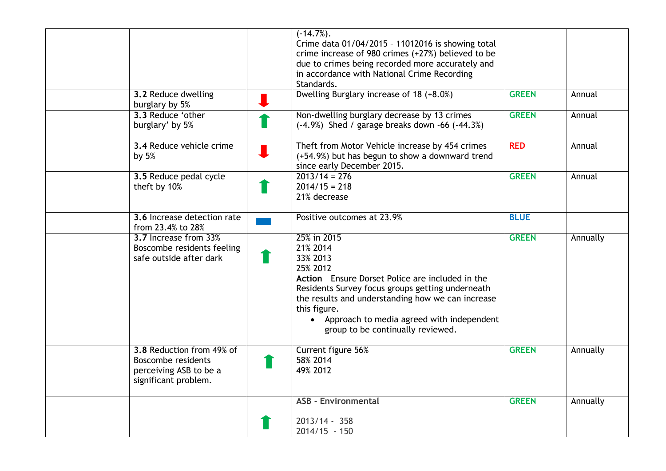| 3.2 Reduce dwelling<br>burglary by 5%                                                                    | $(-14.7\%).$<br>Crime data 01/04/2015 - 11012016 is showing total<br>crime increase of 980 crimes (+27%) believed to be<br>due to crimes being recorded more accurately and<br>in accordance with National Crime Recording<br>Standards.<br>Dwelling Burglary increase of 18 (+8.0%)                              | <b>GREEN</b> | Annual   |
|----------------------------------------------------------------------------------------------------------|-------------------------------------------------------------------------------------------------------------------------------------------------------------------------------------------------------------------------------------------------------------------------------------------------------------------|--------------|----------|
| 3.3 Reduce 'other<br>burglary' by 5%                                                                     | Non-dwelling burglary decrease by 13 crimes<br>$(-4.9%)$ Shed / garage breaks down $-66$ $(-44.3%)$                                                                                                                                                                                                               | <b>GREEN</b> | Annual   |
| 3.4 Reduce vehicle crime<br>by $5%$                                                                      | Theft from Motor Vehicle increase by 454 crimes<br>(+54.9%) but has begun to show a downward trend<br>since early December 2015.                                                                                                                                                                                  | <b>RED</b>   | Annual   |
| 3.5 Reduce pedal cycle<br>theft by 10%                                                                   | $2013/14 = 276$<br>$2014/15 = 218$<br>21% decrease                                                                                                                                                                                                                                                                | <b>GREEN</b> | Annual   |
| 3.6 Increase detection rate<br>from 23.4% to 28%                                                         | Positive outcomes at 23.9%                                                                                                                                                                                                                                                                                        | <b>BLUE</b>  |          |
| 3.7 Increase from 33%<br>Boscombe residents feeling<br>safe outside after dark                           | 25% in 2015<br>21% 2014<br>33% 2013<br>25% 2012<br>Action - Ensure Dorset Police are included in the<br>Residents Survey focus groups getting underneath<br>the results and understanding how we can increase<br>this figure.<br>• Approach to media agreed with independent<br>group to be continually reviewed. | <b>GREEN</b> | Annually |
| 3.8 Reduction from 49% of<br><b>Boscombe residents</b><br>perceiving ASB to be a<br>significant problem. | Current figure 56%<br>58% 2014<br>49% 2012                                                                                                                                                                                                                                                                        | <b>GREEN</b> | Annually |
|                                                                                                          | <b>ASB - Environmental</b><br>$2013/14 - 358$<br>$2014/15 - 150$                                                                                                                                                                                                                                                  | <b>GREEN</b> | Annually |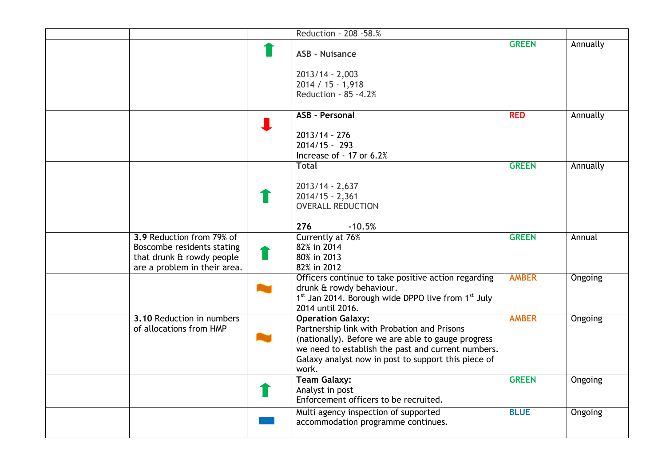|                                                                                                                      | Reduction - 208 - 58.%                                                                                                                                                                                                                              |              |                |
|----------------------------------------------------------------------------------------------------------------------|-----------------------------------------------------------------------------------------------------------------------------------------------------------------------------------------------------------------------------------------------------|--------------|----------------|
|                                                                                                                      | <b>ASB - Nuisance</b>                                                                                                                                                                                                                               | <b>GREEN</b> | Annually       |
|                                                                                                                      | $2013/14 - 2,003$<br>2014 / 15 - 1,918<br>Reduction - 85 -4.2%                                                                                                                                                                                      |              |                |
|                                                                                                                      | <b>ASB - Personal</b><br>$2013/14 - 276$                                                                                                                                                                                                            | <b>RED</b>   | Annually       |
|                                                                                                                      | $2014/15 - 293$<br>Increase of - 17 or 6.2%<br><b>Total</b>                                                                                                                                                                                         | <b>GREEN</b> | Annually       |
|                                                                                                                      | $2013/14 - 2,637$<br>$2014/15 - 2,361$<br><b>OVERALL REDUCTION</b>                                                                                                                                                                                  |              |                |
| 3.9 Reduction from 79% of<br>Boscombe residents stating<br>that drunk & rowdy people<br>are a problem in their area. | 276<br>$-10.5%$<br>Currently at 76%<br>82% in 2014<br>80% in 2013<br>82% in 2012                                                                                                                                                                    | <b>GREEN</b> | Annual         |
|                                                                                                                      | Officers continue to take positive action regarding<br>drunk & rowdy behaviour.<br>1st Jan 2014. Borough wide DPPO live from 1st July<br>2014 until 2016.                                                                                           | <b>AMBER</b> | <b>Ongoing</b> |
| 3.10 Reduction in numbers<br>of allocations from HMP                                                                 | <b>Operation Galaxy:</b><br>Partnership link with Probation and Prisons<br>(nationally). Before we are able to gauge progress<br>we need to establish the past and current numbers.<br>Galaxy analyst now in post to support this piece of<br>work. | <b>AMBER</b> | <b>Ongoing</b> |
|                                                                                                                      | <b>Team Galaxy:</b><br>Analyst in post<br>Enforcement officers to be recruited.                                                                                                                                                                     | <b>GREEN</b> | Ongoing        |
|                                                                                                                      | Multi agency inspection of supported<br>accommodation programme continues.                                                                                                                                                                          | <b>BLUE</b>  | Ongoing        |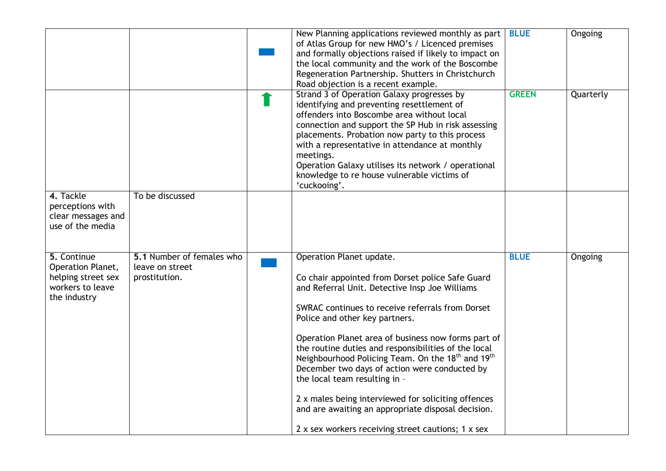|                                                                                            |                                                               | New Planning applications reviewed monthly as part<br>of Atlas Group for new HMO's / Licenced premises<br>and formally objections raised if likely to impact on<br>the local community and the work of the Boscombe<br>Regeneration Partnership. Shutters in Christchurch<br>Road objection is a recent example.                                                                                                                                                                                                                                                                                                                                                      | <b>BLUE</b>  | Ongoing   |
|--------------------------------------------------------------------------------------------|---------------------------------------------------------------|-----------------------------------------------------------------------------------------------------------------------------------------------------------------------------------------------------------------------------------------------------------------------------------------------------------------------------------------------------------------------------------------------------------------------------------------------------------------------------------------------------------------------------------------------------------------------------------------------------------------------------------------------------------------------|--------------|-----------|
|                                                                                            |                                                               | Strand 3 of Operation Galaxy progresses by<br>identifying and preventing resettlement of<br>offenders into Boscombe area without local<br>connection and support the SP Hub in risk assessing<br>placements. Probation now party to this process<br>with a representative in attendance at monthly<br>meetings.<br>Operation Galaxy utilises its network / operational<br>knowledge to re house vulnerable victims of<br>'cuckooing'.                                                                                                                                                                                                                                 | <b>GREEN</b> | Quarterly |
| 4. Tackle<br>perceptions with<br>clear messages and<br>use of the media                    | To be discussed                                               |                                                                                                                                                                                                                                                                                                                                                                                                                                                                                                                                                                                                                                                                       |              |           |
| 5. Continue<br>Operation Planet,<br>helping street sex<br>workers to leave<br>the industry | 5.1 Number of females who<br>leave on street<br>prostitution. | Operation Planet update.<br>Co chair appointed from Dorset police Safe Guard<br>and Referral Unit. Detective Insp Joe Williams<br>SWRAC continues to receive referrals from Dorset<br>Police and other key partners.<br>Operation Planet area of business now forms part of<br>the routine duties and responsibilities of the local<br>Neighbourhood Policing Team. On the 18 <sup>th</sup> and 19 <sup>th</sup><br>December two days of action were conducted by<br>the local team resulting in -<br>2 x males being interviewed for soliciting offences<br>and are awaiting an appropriate disposal decision.<br>2 x sex workers receiving street cautions; 1 x sex | <b>BLUE</b>  | Ongoing   |